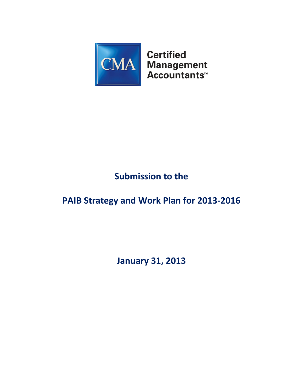

# **Submission to the**

## **PAIB Strategy and Work Plan for 2013-2016**

**January 31, 2013**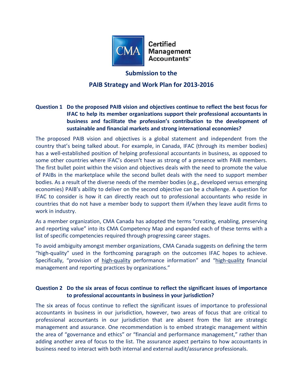

#### **Submission to the**

## **PAIB Strategy and Work Plan for 2013-2016**

## **Question 1 Do the proposed PAIB vision and objectives continue to reflect the best focus for IFAC to help its member organizations support their professional accountants in business and facilitate the profession's contribution to the development of sustainable and financial markets and strong international economies?**

The proposed PAIB vision and objectives is a global statement and independent from the country that's being talked about. For example, in Canada, IFAC (through its member bodies) has a well-established position of helping professional accountants in business, as opposed to some other countries where IFAC's doesn't have as strong of a presence with PAIB members. The first bullet point within the vision and objectives deals with the need to promote the value of PAIBs in the marketplace while the second bullet deals with the need to support member bodies. As a result of the diverse needs of the member bodies (e.g., developed versus emerging economies) PAIB's ability to deliver on the second objective can be a challenge. A question for IFAC to consider is how it can directly reach out to professional accountants who reside in countries that do not have a member body to support them if/when they leave audit firms to work in industry.

As a member organization, CMA Canada has adopted the terms "creating, enabling, preserving and reporting value" into its CMA Competency Map and expanded each of these terms with a list of specific competencies required through progressing career stages.

To avoid ambiguity amongst member organizations, CMA Canada suggests on defining the term "high-quality" used in the forthcoming paragraph on the outcomes IFAC hopes to achieve. Specifically, "provision of high-quality performance information" and "high-quality financial management and reporting practices by organizations."

#### **Question 2 Do the six areas of focus continue to reflect the significant issues of importance to professional accountants in business in your jurisdiction?**

The six areas of focus continue to reflect the significant issues of importance to professional accountants in business in our jurisdiction, however, two areas of focus that are critical to professional accountants in our jurisdiction that are absent from the list are strategic management and assurance. One recommendation is to embed strategic management within the area of "governance and ethics" or "financial and performance management," rather than adding another area of focus to the list. The assurance aspect pertains to how accountants in business need to interact with both internal and external audit/assurance professionals.